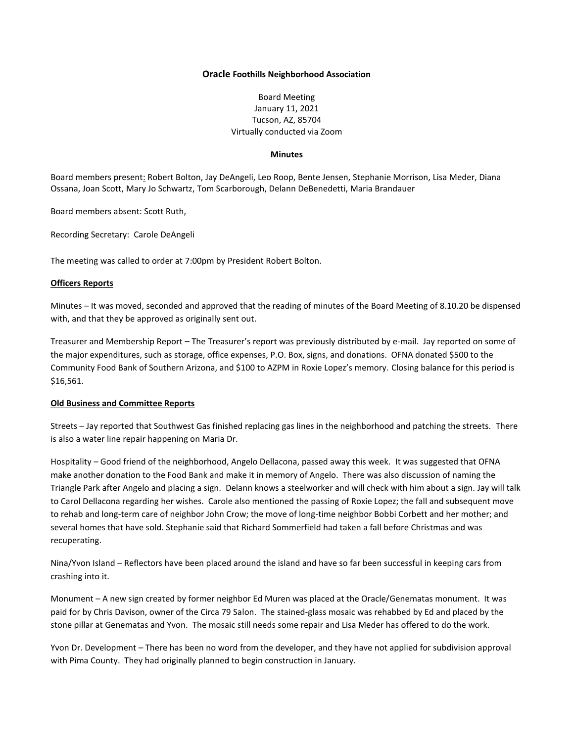## **Oracle Foothills Neighborhood Association**

Board Meeting January 11, 2021 Tucson, AZ, 85704 Virtually conducted via Zoom

# **Minutes**

Board members present: Robert Bolton, Jay DeAngeli, Leo Roop, Bente Jensen, Stephanie Morrison, Lisa Meder, Diana Ossana, Joan Scott, Mary Jo Schwartz, Tom Scarborough, Delann DeBenedetti, Maria Brandauer

Board members absent: Scott Ruth,

Recording Secretary: Carole DeAngeli

The meeting was called to order at 7:00pm by President Robert Bolton.

#### **Officers Reports**

Minutes – It was moved, seconded and approved that the reading of minutes of the Board Meeting of 8.10.20 be dispensed with, and that they be approved as originally sent out.

Treasurer and Membership Report – The Treasurer's report was previously distributed by e-mail. Jay reported on some of the major expenditures, such as storage, office expenses, P.O. Box, signs, and donations. OFNA donated \$500 to the Community Food Bank of Southern Arizona, and \$100 to AZPM in Roxie Lopez's memory. Closing balance for this period is \$16,561.

## **Old Business and Committee Reports**

Streets – Jay reported that Southwest Gas finished replacing gas lines in the neighborhood and patching the streets. There is also a water line repair happening on Maria Dr.

Hospitality – Good friend of the neighborhood, Angelo Dellacona, passed away this week. It was suggested that OFNA make another donation to the Food Bank and make it in memory of Angelo. There was also discussion of naming the Triangle Park after Angelo and placing a sign. Delann knows a steelworker and will check with him about a sign. Jay will talk to Carol Dellacona regarding her wishes. Carole also mentioned the passing of Roxie Lopez; the fall and subsequent move to rehab and long-term care of neighbor John Crow; the move of long-time neighbor Bobbi Corbett and her mother; and several homes that have sold. Stephanie said that Richard Sommerfield had taken a fall before Christmas and was recuperating.

Nina/Yvon Island – Reflectors have been placed around the island and have so far been successful in keeping cars from crashing into it.

Monument – A new sign created by former neighbor Ed Muren was placed at the Oracle/Genematas monument. It was paid for by Chris Davison, owner of the Circa 79 Salon. The stained-glass mosaic was rehabbed by Ed and placed by the stone pillar at Genematas and Yvon. The mosaic still needs some repair and Lisa Meder has offered to do the work.

Yvon Dr. Development – There has been no word from the developer, and they have not applied for subdivision approval with Pima County. They had originally planned to begin construction in January.